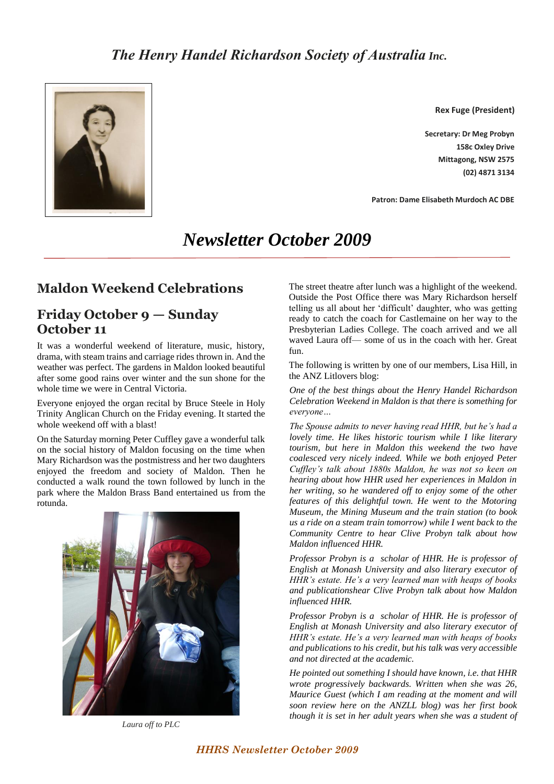

**Rex Fuge (President)**

**Secretary: Dr Meg Probyn 158c Oxley Drive Mittagong, NSW 2575 (02) 4871 3134**

**Patron: Dame Elisabeth Murdoch AC DBE**

# *Newsletter October 2009*

# **Maldon Weekend Celebrations**

# **Friday October 9 — Sunday October 11**

It was a wonderful weekend of literature, music, history, drama, with steam trains and carriage rides thrown in. And the weather was perfect. The gardens in Maldon looked beautiful after some good rains over winter and the sun shone for the whole time we were in Central Victoria.

Everyone enjoyed the organ recital by Bruce Steele in Holy Trinity Anglican Church on the Friday evening. It started the whole weekend off with a blast!

On the Saturday morning Peter Cuffley gave a wonderful talk on the social history of Maldon focusing on the time when Mary Richardson was the postmistress and her two daughters enjoyed the freedom and society of Maldon. Then he conducted a walk round the town followed by lunch in the park where the Maldon Brass Band entertained us from the rotunda.



*Laura off to PLC*

The street theatre after lunch was a highlight of the weekend. Outside the Post Office there was Mary Richardson herself telling us all about her 'difficult' daughter, who was getting ready to catch the coach for Castlemaine on her way to the Presbyterian Ladies College. The coach arrived and we all waved Laura off— some of us in the coach with her. Great fun.

The following is written by one of our members, Lisa Hill, in the ANZ Litlovers blog:

*One of the best things about the Henry Handel Richardson Celebration Weekend in Maldon is that there is something for everyone…*

*The Spouse admits to never having read HHR, but he's had a lovely time. He likes historic tourism while I like literary tourism, but here in Maldon this weekend the two have coalesced very nicely indeed. While we both enjoyed Peter Cuffley's talk about 1880s Maldon, he was not so keen on hearing about how HHR used her experiences in Maldon in her writing, so he wandered off to enjoy some of the other features of this delightful town. He went to the Motoring Museum, the Mining Museum and the train station (to book us a ride on a steam train tomorrow) while I went back to the Community Centre to hear Clive Probyn talk about how Maldon influenced HHR.*

*Professor Probyn is a scholar of HHR. He is professor of English at Monash University and also literary executor of HHR's estate. He's a very learned man with heaps of books and publicationshear Clive Probyn talk about how Maldon influenced HHR.*

*Professor Probyn is a scholar of HHR. He is professor of English at Monash University and also literary executor of HHR's estate. He's a very learned man with heaps of books and publications to his credit, but his talk was very accessible and not directed at the academic.*

*He pointed out something I should have known, i.e. that HHR wrote progressively backwards. Written when she was 26, Maurice Guest (which I am reading at the moment and will soon review here on the ANZLL blog) was her first book though it is set in her adult years when she was a student of*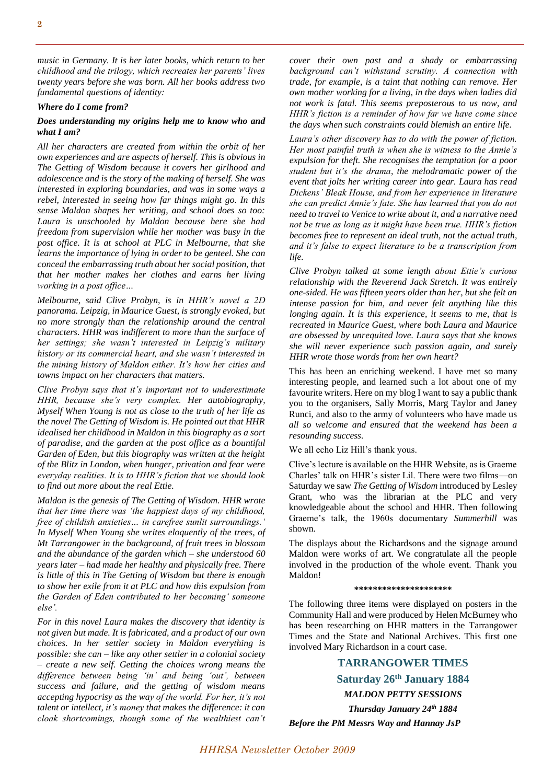*music in Germany. It is her later books, which return to her childhood and the trilogy, which recreates her parents' lives twenty years before she was born. All her books address two fundamental questions of identity:*

### *Where do I come from?*

### *Does understanding my origins help me to know who and what I am[?](http://anzlitlovers.files.wordpress.com/2009/10/the-getting-of-wisdome.jpg)*

*All her characters are created from within the orbit of her own experiences and are aspects of herself. This is obvious in The Getting of Wisdom because it covers her girlhood and adolescence and is the story of the making of herself. She was interested in exploring boundaries, and was in some ways a rebel, interested in seeing how far things might go. In this sense Maldon shapes her writing, and school does so too: Laura is unschooled by Maldon because here she had freedom from supervision while her mother was busy in the post office. It is at school at PLC in Melbourne, that she learns the importance of lying in order to be genteel. She can conceal the embarrassing truth about her social position, that that her mother makes her clothes and earns her living working in a post office…*

*Melbourne, said Clive Probyn, is in HHR's novel a 2D panorama. Leipzig, in Maurice Guest, is strongly evoked, but no more strongly than the relationship around the central characters. HHR was indifferent to more than the surface of her settings; she wasn't interested in Leipzig's military history or its commercial heart, and she wasn't interested in the mining history of Maldon either. It's how her cities and towns impact on her characters that matters.*

*Clive Probyn says that it's important not to underestimate HHR, because she's very complex. Her autobiography, Myself When Young is not as close to the truth of her life as the novel The Getting of Wisdom is. He pointed out that HHR idealised her childhood in Maldon in this biography as a sort of paradise, and the garden at the post office as a bountiful Garden of Eden, but this biography was written at the height of the Blitz in London, when hunger, privation and fear were everyday realities. It is to HHR's fiction that we should look to find out more about the real Ettie.*

*Maldon is the genesis of The Getting of Wisdom. HHR wrote that her time there was 'the happiest days of my childhood, free of childish anxieties… in carefree sunlit surroundings.' In Myself When Young she writes eloquently of the trees, of Mt Tarrangower in the background, of fruit trees in blossom and the abundance of the garden which – she understood 60 years later – had made her healthy and physically free. There is little of this in The Getting of Wisdom but there is enough to show her exile from it at PLC and how this expulsion from the Garden of Eden contributed to her becoming' someone else'.*

*For in this novel Laura makes the discovery that identity is not given but made. It is fabricated, and a product of our own choices. In her settler society in Maldon everything is possible: she can – like any other settler in a colonial society – create a new self. Getting the choices wrong means the difference between being 'in' and being 'out', between success and failure, and the getting of wisdom means accepting hypocrisy as the way of the world. For her, it's not talent or intellect, it's money that makes the difference: it can cloak shortcomings, though some of the wealthiest can't* 

*cover their own past and a shady or embarrassing background can't withstand scrutiny. A connection with trade, for example, is a taint that nothing can remove. Her own mother working for a living, in the days when ladies did not work is fatal. This seems preposterous to us now, and HHR's fiction is a reminder of how far we have come since the days when such constraints could blemish an entire life.*

*Laura's other discovery has to do with the power of fiction. Her most painful truth is when she is witness to the Annie's expulsion for theft. She recognises the temptation for a poor student but it's the drama, the melodramatic power of the event that jolts her writing career into gear. Laura has read Dickens' Bleak House, and from her experience in literature she can predict Annie's fate. She has learned that you do not need to travel to Venice to write about it, and a narrative need not be true as long as it might have been true. HHR's fiction becomes free to represent an ideal truth, not the actual truth, and it's false to expect literature to be a transcription from life.*

*Clive Probyn talked at some length about Ettie's curious relationship with the Reverend Jack Stretch. It was entirely one-sided. He was fifteen years older than her, but she felt an intense passion for him, and never felt anything like this longing again. It is this experience, it seems to me, that is recreated in Maurice Guest, where both Laura and Maurice are obsessed by unrequited love. Laura says that she knows she will never experience such passion again, and surely HHR wrote those words from her own heart?*

This has been an enriching weekend. I have met so many interesting people, and learned such a lot about one of my favourite writers. Here on my blog I want to say a public thank you to the organisers, Sally Morris, Marg Taylor and Janey Runci, and also to the army of volunteers who have made us *all so welcome and ensured that the weekend has been a resounding success.*

We all echo Liz Hill's thank yous.

Clive's lecture is available on the HHR Website, as is Graeme Charles' talk on HHR's sister Lil. There were two films—on Saturday we saw *The Getting of Wisdom* introduced by Lesley Grant, who was the librarian at the PLC and very knowledgeable about the school and HHR. Then following Graeme's talk, the 1960s documentary *Summerhill* was shown.

The displays about the Richardsons and the signage around Maldon were works of art. We congratulate all the people involved in the production of the whole event. Thank you Maldon!

#### **\*\*\*\*\*\*\*\*\*\*\*\*\*\*\*\*\*\*\*\*\***

The following three items were displayed on posters in the Community Hall and were produced by Helen McBurney who has been researching on HHR matters in the Tarrangower Times and the State and National Archives. This first one involved Mary Richardson in a court case.

**TARRANGOWER TIMES Saturday 26th January 1884** *MALDON PETTY SESSIONS Thursday January 24th 1884 Before the PM Messrs Way and Hannay JsP*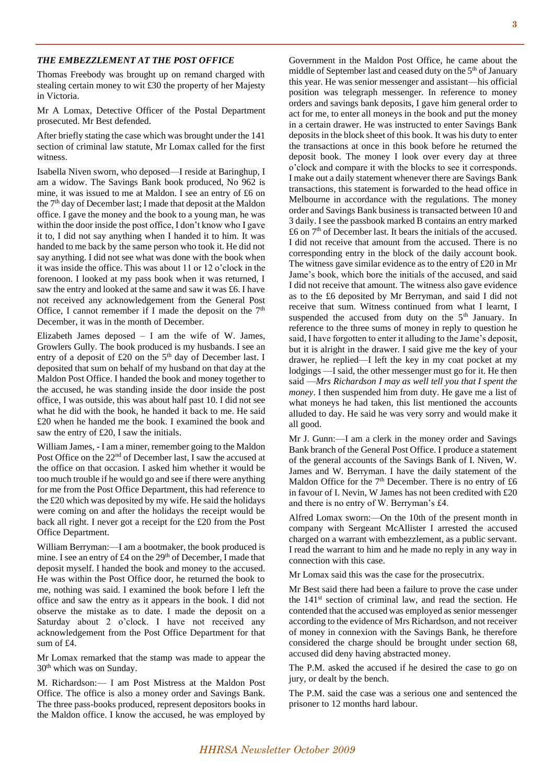#### *THE EMBEZZLEMENT AT THE POST OFFICE*

Thomas Freebody was brought up on remand charged with stealing certain money to wit £30 the property of her Majesty in Victoria.

Mr A Lomax, Detective Officer of the Postal Department prosecuted. Mr Best defended.

After briefly stating the case which was brought under the 141 section of criminal law statute, Mr Lomax called for the first witness.

Isabella Niven sworn, who deposed—I reside at Baringhup, I am a widow. The Savings Bank book produced, No 962 is mine, it was issued to me at Maldon. I see an entry of £6 on the  $7<sup>th</sup>$  day of December last; I made that deposit at the Maldon office. I gave the money and the book to a young man, he was within the door inside the post office, I don't know who I gave it to, I did not say anything when I handed it to him. It was handed to me back by the same person who took it. He did not say anything. I did not see what was done with the book when it was inside the office. This was about 11 or 12 o'clock in the forenoon. I looked at my pass book when it was returned, I saw the entry and looked at the same and saw it was £6. I have not received any acknowledgement from the General Post Office, I cannot remember if I made the deposit on the  $7<sup>th</sup>$ December, it was in the month of December.

Elizabeth James deposed  $-$  I am the wife of W. James, Growlers Gully. The book produced is my husbands. I see an entry of a deposit of  $£20$  on the  $5<sup>th</sup>$  day of December last. I deposited that sum on behalf of my husband on that day at the Maldon Post Office. I handed the book and money together to the accused, he was standing inside the door inside the post office, I was outside, this was about half past 10. I did not see what he did with the book, he handed it back to me. He said £20 when he handed me the book. I examined the book and saw the entry of £20, I saw the initials.

William James, - I am a miner, remember going to the Maldon Post Office on the 22<sup>nd</sup> of December last, I saw the accused at the office on that occasion. I asked him whether it would be too much trouble if he would go and see if there were anything for me from the Post Office Department, this had reference to the £20 which was deposited by my wife. He said the holidays were coming on and after the holidays the receipt would be back all right. I never got a receipt for the £20 from the Post Office Department.

William Berryman:—I am a bootmaker, the book produced is mine. I see an entry of £4 on the 29<sup>th</sup> of December, I made that deposit myself. I handed the book and money to the accused. He was within the Post Office door, he returned the book to me, nothing was said. I examined the book before I left the office and saw the entry as it appears in the book. I did not observe the mistake as to date. I made the deposit on a Saturday about 2 o'clock. I have not received any acknowledgement from the Post Office Department for that sum of £4.

Mr Lomax remarked that the stamp was made to appear the 30<sup>th</sup> which was on Sunday.

M. Richardson:— I am Post Mistress at the Maldon Post Office. The office is also a money order and Savings Bank. The three pass-books produced, represent depositors books in the Maldon office. I know the accused, he was employed by

Government in the Maldon Post Office, he came about the middle of September last and ceased duty on the 5<sup>th</sup> of January this year. He was senior messenger and assistant—his official position was telegraph messenger. In reference to money orders and savings bank deposits, I gave him general order to act for me, to enter all moneys in the book and put the money in a certain drawer. He was instructed to enter Savings Bank deposits in the block sheet of this book. It was his duty to enter the transactions at once in this book before he returned the deposit book. The money I look over every day at three o'clock and compare it with the blocks to see it corresponds. I make out a daily statement whenever there are Savings Bank transactions, this statement is forwarded to the head office in Melbourne in accordance with the regulations. The money order and Savings Bank business is transacted between 10 and 3 daily. I see the passbook marked B contains an entry marked  $\pounds$ 6 on  $7<sup>th</sup>$  of December last. It bears the initials of the accused. I did not receive that amount from the accused. There is no corresponding entry in the block of the daily account book. The witness gave similar evidence as to the entry of £20 in Mr Jame's book, which bore the initials of the accused, and said I did not receive that amount. The witness also gave evidence as to the £6 deposited by Mr Berryman, and said I did not receive that sum. Witness continued from what I learnt, I suspended the accused from duty on the 5<sup>th</sup> January. In reference to the three sums of money in reply to question he said, I have forgotten to enter it alluding to the Jame's deposit, but it is alright in the drawer. I said give me the key of your drawer, he replied—I left the key in my coat pocket at my lodgings —I said, the other messenger must go for it. He then said —*Mrs Richardson I may as well tell you that I spent the money*. I then suspended him from duty. He gave me a list of what moneys he had taken, this list mentioned the accounts alluded to day. He said he was very sorry and would make it all good.

Mr J. Gunn:—I am a clerk in the money order and Savings Bank branch of the General Post Office. I produce a statement of the general accounts of the Savings Bank of I. Niven, W. James and W. Berryman. I have the daily statement of the Maldon Office for the  $7<sup>th</sup>$  December. There is no entry of £6 in favour of I. Nevin, W James has not been credited with £20 and there is no entry of W. Berryman's £4.

Alfred Lomax sworn:—On the 10th of the present month in company with Sergeant McAllister I arrested the accused charged on a warrant with embezzlement, as a public servant. I read the warrant to him and he made no reply in any way in connection with this case.

Mr Lomax said this was the case for the prosecutrix.

Mr Best said there had been a failure to prove the case under the  $141<sup>st</sup>$  section of criminal law, and read the section. He contended that the accused was employed as senior messenger according to the evidence of Mrs Richardson, and not receiver of money in connexion with the Savings Bank, he therefore considered the charge should be brought under section 68, accused did deny having abstracted money.

The P.M. asked the accused if he desired the case to go on jury, or dealt by the bench.

The P.M. said the case was a serious one and sentenced the prisoner to 12 months hard labour.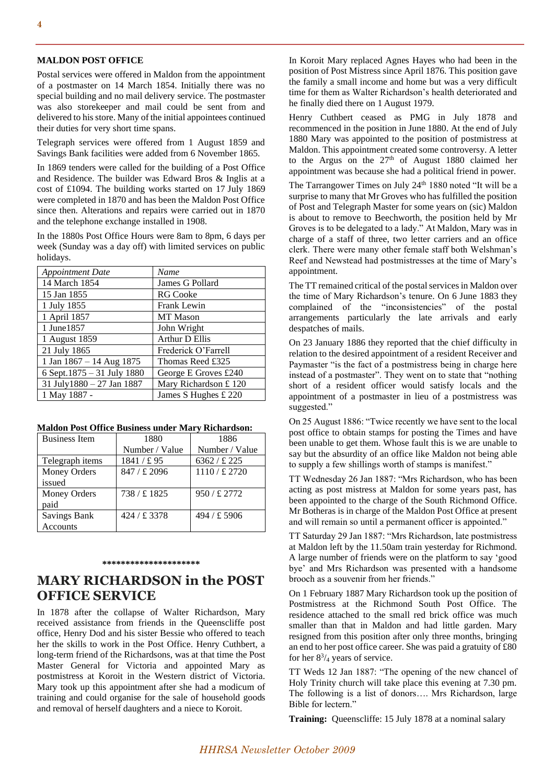#### **MALDON POST OFFICE**

Postal services were offered in Maldon from the appointment of a postmaster on 14 March 1854. Initially there was no special building and no mail delivery service. The postmaster was also storekeeper and mail could be sent from and delivered to his store. Many of the initial appointees continued their duties for very short time spans.

Telegraph services were offered from 1 August 1859 and Savings Bank facilities were added from 6 November 1865.

In 1869 tenders were called for the building of a Post Office and Residence. The builder was Edward Bros & Inglis at a cost of £1094. The building works started on 17 July 1869 were completed in 1870 and has been the Maldon Post Office since then. Alterations and repairs were carried out in 1870 and the telephone exchange installed in 1908.

In the 1880s Post Office Hours were 8am to 8pm, 6 days per week (Sunday was a day off) with limited services on public holidays.

| <b>Appointment Date</b>      | Name                 |
|------------------------------|----------------------|
| 14 March 1854                | James G Pollard      |
| 15 Jan 1855                  | <b>RG</b> Cooke      |
| 1 July 1855                  | Frank Lewin          |
| 1 April 1857                 | <b>MT</b> Mason      |
| 1 June 1857                  | John Wright          |
| 1 August 1859                | Arthur D Ellis       |
| 21 July 1865                 | Frederick O'Farrell  |
| 1 Jan $1867 - 14$ Aug $1875$ | Thomas Reed £325     |
| 6 Sept.1875 - 31 July 1880   | George E Groves £240 |
| 31 July1880 - 27 Jan 1887    | Mary Richardson £120 |
| 1 May 1887 -                 | James S Hughes £ 220 |

#### **Maldon Post Office Business under Mary Richardson:**

| <b>Business Item</b> | 1880           | 1886                  |  |
|----------------------|----------------|-----------------------|--|
|                      | Number / Value | Number / Value        |  |
| Telegraph items      | 1841/£95       | 6362 / £225           |  |
| Money Orders         | 847 / £ 2096   | $1110 / \pounds 2720$ |  |
| issued               |                |                       |  |
| <b>Money Orders</b>  | 738/£1825      | $950 / \pounds 2772$  |  |
| paid                 |                |                       |  |
| <b>Savings Bank</b>  | 424 / £ 3378   | 494 / £ 5906          |  |
| Accounts             |                |                       |  |

#### **\*\*\*\*\*\*\*\*\*\*\*\*\*\*\*\*\*\*\*\*\***

## **MARY RICHARDSON in the POST OFFICE SERVICE**

In 1878 after the collapse of Walter Richardson, Mary received assistance from friends in the Queenscliffe post office, Henry Dod and his sister Bessie who offered to teach her the skills to work in the Post Office. Henry Cuthbert, a long-term friend of the Richardsons, was at that time the Post Master General for Victoria and appointed Mary as postmistress at Koroit in the Western district of Victoria. Mary took up this appointment after she had a modicum of training and could organise for the sale of household goods and removal of herself daughters and a niece to Koroit.

In Koroit Mary replaced Agnes Hayes who had been in the position of Post Mistress since April 1876. This position gave the family a small income and home but was a very difficult time for them as Walter Richardson's health deteriorated and he finally died there on 1 August 1979.

Henry Cuthbert ceased as PMG in July 1878 and recommenced in the position in June 1880. At the end of July 1880 Mary was appointed to the position of postmistress at Maldon. This appointment created some controversy. A letter to the Argus on the  $27<sup>th</sup>$  of August 1880 claimed her appointment was because she had a political friend in power.

The Tarrangower Times on July 24<sup>th</sup> 1880 noted "It will be a surprise to many that Mr Groves who has fulfilled the position of Post and Telegraph Master for some years on (sic) Maldon is about to remove to Beechworth, the position held by Mr Groves is to be delegated to a lady." At Maldon, Mary was in charge of a staff of three, two letter carriers and an office clerk. There were many other female staff both Welshman's Reef and Newstead had postmistresses at the time of Mary's appointment.

The TT remained critical of the postal services in Maldon over the time of Mary Richardson's tenure. On 6 June 1883 they complained of the "inconsistencies" of the postal arrangements particularly the late arrivals and early despatches of mails.

On 23 January 1886 they reported that the chief difficulty in relation to the desired appointment of a resident Receiver and Paymaster "is the fact of a postmistress being in charge here instead of a postmaster". They went on to state that "nothing short of a resident officer would satisfy locals and the appointment of a postmaster in lieu of a postmistress was suggested."

On 25 August 1886: "Twice recently we have sent to the local post office to obtain stamps for posting the Times and have been unable to get them. Whose fault this is we are unable to say but the absurdity of an office like Maldon not being able to supply a few shillings worth of stamps is manifest."

TT Wednesday 26 Jan 1887: "Mrs Richardson, who has been acting as post mistress at Maldon for some years past, has been appointed to the charge of the South Richmond Office. Mr Botheras is in charge of the Maldon Post Office at present and will remain so until a permanent officer is appointed."

TT Saturday 29 Jan 1887: "Mrs Richardson, late postmistress at Maldon left by the 11.50am train yesterday for Richmond. A large number of friends were on the platform to say 'good bye' and Mrs Richardson was presented with a handsome brooch as a souvenir from her friends."

On 1 February 1887 Mary Richardson took up the position of Postmistress at the Richmond South Post Office. The residence attached to the small red brick office was much smaller than that in Maldon and had little garden. Mary resigned from this position after only three months, bringing an end to her post office career. She was paid a gratuity of £80 for her  $8\frac{3}{4}$  years of service.

TT Weds 12 Jan 1887: "The opening of the new chancel of Holy Trinity church will take place this evening at 7.30 pm. The following is a list of donors…. Mrs Richardson, large Bible for lectern."

**Training:** Queenscliffe: 15 July 1878 at a nominal salary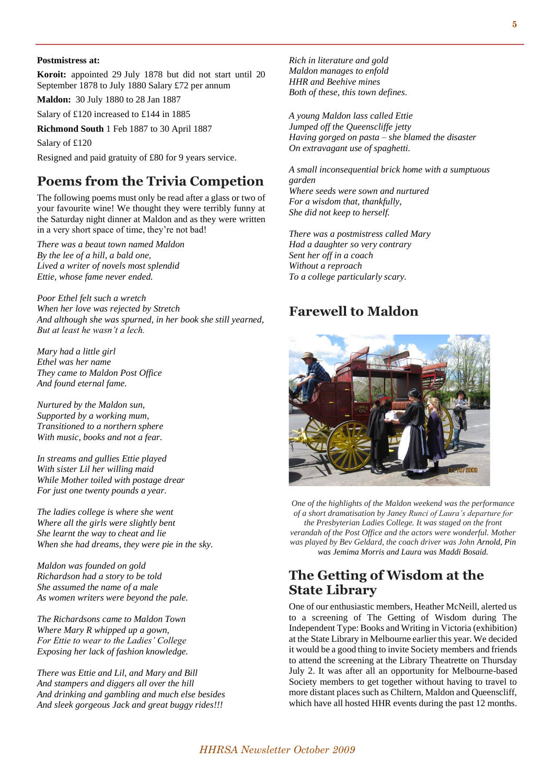#### **Postmistress at:**

**Koroit:** appointed 29 July 1878 but did not start until 20 September 1878 to July 1880 Salary £72 per annum

**Maldon:** 30 July 1880 to 28 Jan 1887

Salary of £120 increased to £144 in 1885

**Richmond South** 1 Feb 1887 to 30 April 1887

Salary of £120

Resigned and paid gratuity of £80 for 9 years service.

# **Poems from the Trivia Competion**

The following poems must only be read after a glass or two of your favourite wine! We thought they were terribly funny at the Saturday night dinner at Maldon and as they were written in a very short space of time, they're not bad!

*There was a beaut town named Maldon By the lee of a hill, a bald one, Lived a writer of novels most splendid Ettie, whose fame never ended.*

*Poor Ethel felt such a wretch When her love was rejected by Stretch And although she was spurned, in her book she still yearned, But at least he wasn't a lech.*

*Mary had a little girl Ethel was her name They came to Maldon Post Office And found eternal fame.*

*Nurtured by the Maldon sun, Supported by a working mum, Transitioned to a northern sphere With music, books and not a fear.*

*In streams and gullies Ettie played With sister Lil her willing maid While Mother toiled with postage drear For just one twenty pounds a year.*

*The ladies college is where she went Where all the girls were slightly bent She learnt the way to cheat and lie When she had dreams, they were pie in the sky.*

*Maldon was founded on gold Richardson had a story to be told She assumed the name of a male As women writers were beyond the pale.*

*The Richardsons came to Maldon Town Where Mary R whipped up a gown, For Ettie to wear to the Ladies' College Exposing her lack of fashion knowledge.*

*There was Ettie and Lil, and Mary and Bill And stampers and diggers all over the hill And drinking and gambling and much else besides And sleek gorgeous Jack and great buggy rides!!!*

*Rich in literature and gold Maldon manages to enfold HHR and Beehive mines Both of these, this town defines.*

*A young Maldon lass called Ettie Jumped off the Queenscliffe jetty Having gorged on pasta – she blamed the disaster On extravagant use of spaghetti.*

*A small inconsequential brick home with a sumptuous garden Where seeds were sown and nurtured For a wisdom that, thankfully, She did not keep to herself.*

*There was a postmistress called Mary Had a daughter so very contrary Sent her off in a coach Without a reproach To a college particularly scary.*

### **Farewell to Maldon**



*One of the highlights of the Maldon weekend was the performance of a short dramatisation by Janey Runci of Laura's departure for the Presbyterian Ladies College. It was staged on the front verandah of the Post Office and the actors were wonderful. Mother was played by Bev Geldard, the coach driver was John Arnold, Pin was Jemima Morris and Laura was Maddi Bosaid.*

# **The Getting of Wisdom at the State Library**

One of our enthusiastic members, Heather McNeill, alerted us to a screening of The Getting of Wisdom during The Independent Type: Books and Writing in Victoria (exhibition) at the State Library in Melbourne earlier this year. We decided it would be a good thing to invite Society members and friends to attend the screening at the Library Theatrette on Thursday July 2. It was after all an opportunity for Melbourne-based Society members to get together without having to travel to more distant places such as Chiltern, Maldon and Queenscliff, which have all hosted HHR events during the past 12 months.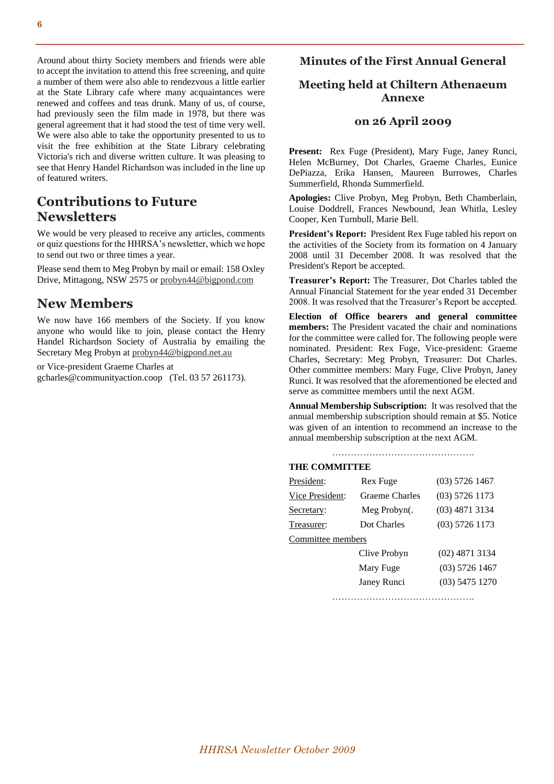Around about thirty Society members and friends were able to accept the invitation to attend this free screening, and quite a number of them were also able to rendezvous a little earlier at the State Library cafe where many acquaintances were renewed and coffees and teas drunk. Many of us, of course, had previously seen the film made in 1978, but there was general agreement that it had stood the test of time very well. We were also able to take the opportunity presented to us to visit the free exhibition at the State Library celebrating Victoria's rich and diverse written culture. It was pleasing to see that Henry Handel Richardson was included in the line up of featured writers.

## **Contributions to Future Newsletters**

We would be very pleased to receive any articles, comments or quiz questions for the HHRSA's newsletter, which we hope to send out two or three times a year.

Please send them to Meg Probyn by mail or email: 158 Oxley Drive, Mittagong, NSW 2575 or [probyn44@bigpond.com](mailto:probyn44@bigpond.com)

# **New Members**

We now have 166 members of the Society. If you know anyone who would like to join, please contact the Henry Handel Richardson Society of Australia by emailing the Secretary Meg Probyn at [probyn44@bigpond.net.au](mailto:probyn44@bigpond.net.au)

or Vice-president Graeme Charles at gcharles@communityaction.coop (Tel. 03 57 261173).

### **Minutes of the First Annual General**

### **Meeting held at Chiltern Athenaeum Annexe**

### **on 26 April 2009**

Present: Rex Fuge (President), Mary Fuge, Janey Runci, Helen McBurney, Dot Charles, Graeme Charles, Eunice DePiazza, Erika Hansen, Maureen Burrowes, Charles Summerfield, Rhonda Summerfield.

**Apologies:** Clive Probyn, Meg Probyn, Beth Chamberlain, Louise Doddrell, Frances Newbound, Jean Whitla, Lesley Cooper, Ken Turnbull, Marie Bell.

**President's Report:** President Rex Fuge tabled his report on the activities of the Society from its formation on 4 January 2008 until 31 December 2008. It was resolved that the President's Report be accepted.

**Treasurer's Report:** The Treasurer, Dot Charles tabled the Annual Financial Statement for the year ended 31 December 2008. It was resolved that the Treasurer's Report be accepted.

**Election of Office bearers and general committee members:** The President vacated the chair and nominations for the committee were called for. The following people were nominated. President: Rex Fuge, Vice-president: Graeme Charles, Secretary: Meg Probyn, Treasurer: Dot Charles. Other committee members: Mary Fuge, Clive Probyn, Janey Runci. It was resolved that the aforementioned be elected and serve as committee members until the next AGM.

**Annual Membership Subscription:** It was resolved that the annual membership subscription should remain at \$5. Notice was given of an intention to recommend an increase to the annual membership subscription at the next AGM.

……………………………………….

#### **THE COMMITTEE**

| President:        | Rex Fuge              | $(03)$ 5726 1467 |
|-------------------|-----------------------|------------------|
| Vice President:   | <b>Graeme Charles</b> | $(03)$ 5726 1173 |
| Secretary:        | Meg Probyn(.          | $(03)$ 4871 3134 |
| Treasurer:        | Dot Charles           | $(03)$ 5726 1173 |
| Committee members |                       |                  |
|                   | Clive Probyn          | $(02)$ 4871 3134 |
|                   | Mary Fuge             | $(03)$ 5726 1467 |
|                   | Janey Runci           | $(03)$ 5475 1270 |
|                   |                       |                  |